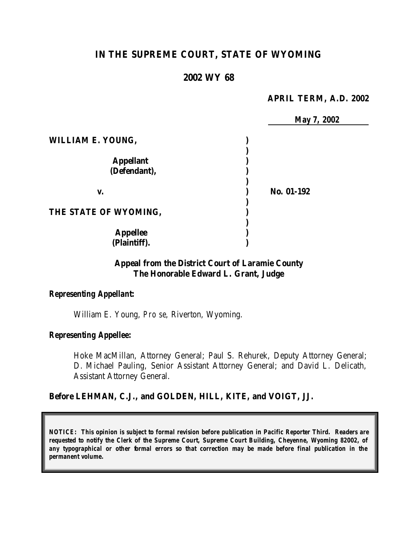# **IN THE SUPREME COURT, STATE OF WYOMING**

### **2002 WY 68**

#### **APRIL TERM, A.D. 2002**

|                          | May 7, 2002 |
|--------------------------|-------------|
| <b>WILLIAM E. YOUNG,</b> |             |
|                          |             |
| <b>Appellant</b>         |             |
| (Defendant),             |             |
| v.                       | No. 01-192  |
| THE STATE OF WYOMING,    |             |
| <b>Appellee</b>          |             |
| (Plaintiff).             |             |

## **Appeal from the District Court of Laramie County The Honorable Edward L. Grant, Judge**

#### *Representing Appellant:*

William E. Young, *Pro se*, Riverton, Wyoming.

#### *Representing Appellee:*

Hoke MacMillan, Attorney General; Paul S. Rehurek, Deputy Attorney General; D. Michael Pauling, Senior Assistant Attorney General; and David L. Delicath, Assistant Attorney General.

#### **Before LEHMAN, C.J., and GOLDEN, HILL, KITE, and VOIGT, JJ.**

*NOTICE: This opinion is subject to formal revision before publication in Pacific Reporter Third. Readers are requested to notify the Clerk of the Supreme Court, Supreme Court Building, Cheyenne, Wyoming 82002, of any typographical or other formal errors so that correction may be made before final publication in the permanent volume.*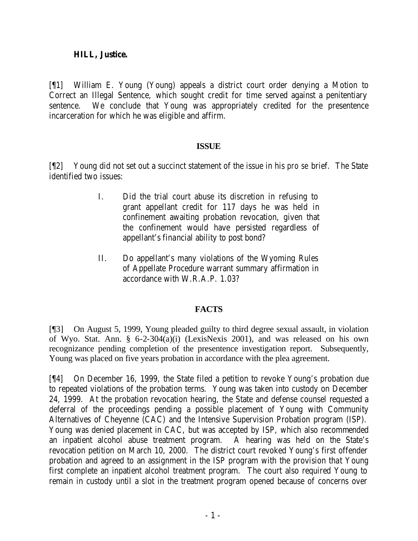### **HILL, Justice.**

[¶1] William E. Young (Young) appeals a district court order denying a Motion to Correct an Illegal Sentence, which sought credit for time served against a penitentiary sentence. We conclude that Young was appropriately credited for the presentence incarceration for which he was eligible and affirm.

## **ISSUE**

[¶2] Young did not set out a succinct statement of the issue in his *pro se* brief. The State identified two issues:

- I. Did the trial court abuse its discretion in refusing to grant appellant credit for 117 days he was held in confinement awaiting probation revocation, given that the confinement would have persisted regardless of appellant's financial ability to post bond?
- II. Do appellant's many violations of the Wyoming Rules of Appellate Procedure warrant summary affirmation in accordance with W.R.A.P. 1.03?

## **FACTS**

[¶3] On August 5, 1999, Young pleaded guilty to third degree sexual assault, in violation of Wyo. Stat. Ann. § 6-2-304(a)(i) (LexisNexis 2001), and was released on his own recognizance pending completion of the presentence investigation report. Subsequently, Young was placed on five years probation in accordance with the plea agreement.

[¶4] On December 16, 1999, the State filed a petition to revoke Young's probation due to repeated violations of the probation terms. Young was taken into custody on December 24, 1999. At the probation revocation hearing, the State and defense counsel requested a deferral of the proceedings pending a possible placement of Young with Community Alternatives of Cheyenne (CAC) and the Intensive Supervision Probation program (ISP). Young was denied placement in CAC, but was accepted by ISP, which also recommended an inpatient alcohol abuse treatment program. A hearing was held on the State's revocation petition on March 10, 2000. The district court revoked Young's first offender probation and agreed to an assignment in the ISP program with the provision that Young first complete an inpatient alcohol treatment program. The court also required Young to remain in custody until a slot in the treatment program opened because of concerns over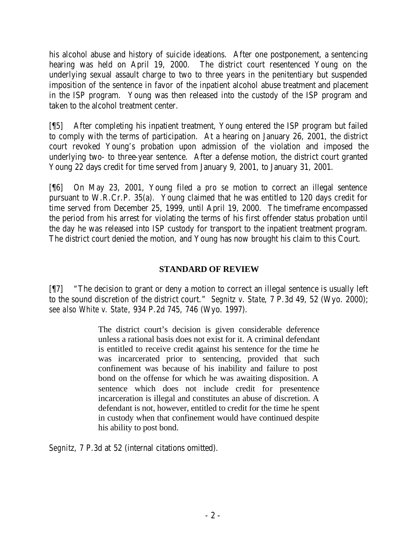his alcohol abuse and history of suicide ideations. After one postponement, a sentencing hearing was held on April 19, 2000. The district court resentenced Young on the underlying sexual assault charge to two to three years in the penitentiary but suspended imposition of the sentence in favor of the inpatient alcohol abuse treatment and placement in the ISP program. Young was then released into the custody of the ISP program and taken to the alcohol treatment center.

[¶5] After completing his inpatient treatment, Young entered the ISP program but failed to comply with the terms of participation. At a hearing on January 26, 2001, the district court revoked Young's probation upon admission of the violation and imposed the underlying two- to three-year sentence. After a defense motion, the district court granted Young 22 days credit for time served from January 9, 2001, to January 31, 2001.

[¶6] On May 23, 2001, Young filed a *pro se* motion to correct an illegal sentence pursuant to W.R.Cr.P. 35(a). Young claimed that he was entitled to 120 days credit for time served from December 25, 1999, until April 19, 2000. The timeframe encompassed the period from his arrest for violating the terms of his first offender status probation until the day he was released into ISP custody for transport to the inpatient treatment program. The district court denied the motion, and Young has now brought his claim to this Court.

# **STANDARD OF REVIEW**

[¶7] "The decision to grant or deny a motion to correct an illegal sentence is usually left to the sound discretion of the district court." *Segnitz v. State*, 7 P.3d 49, 52 (Wyo. 2000); *see also White v. State*, 934 P.2d 745, 746 (Wyo. 1997).

> The district court's decision is given considerable deference unless a rational basis does not exist for it. A criminal defendant is entitled to receive credit against his sentence for the time he was incarcerated prior to sentencing, provided that such confinement was because of his inability and failure to post bond on the offense for which he was awaiting disposition. A sentence which does not include credit for presentence incarceration is illegal and constitutes an abuse of discretion. A defendant is not, however, entitled to credit for the time he spent in custody when that confinement would have continued despite his ability to post bond.

*Segnitz*, 7 P.3d at 52 (internal citations omitted).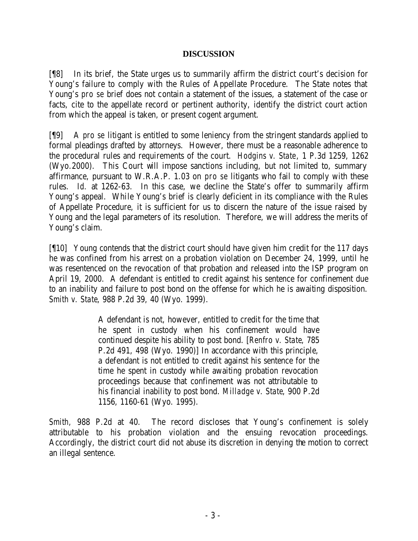### **DISCUSSION**

[¶8] In its brief, the State urges us to summarily affirm the district court's decision for Young's failure to comply with the Rules of Appellate Procedure. The State notes that Young's *pro se* brief does not contain a statement of the issues, a statement of the case or facts, cite to the appellate record or pertinent authority, identify the district court action from which the appeal is taken, or present cogent argument.

[¶9] A *pro se* litigant is entitled to some leniency from the stringent standards applied to formal pleadings drafted by attorneys. However, there must be a reasonable adherence to the procedural rules and requirements of the court. *Hodgins v. State*, 1 P.3d 1259, 1262 (Wyo.2000). This Court will impose sanctions including, but not limited to, summary affirmance, pursuant to W.R.A.P. 1.03 on *pro se* litigants who fail to comply with these rules. *Id.* at 1262-63. In this case, we decline the State's offer to summarily affirm Young's appeal. While Young's brief is clearly deficient in its compliance with the Rules of Appellate Procedure, it is sufficient for us to discern the nature of the issue raised by Young and the legal parameters of its resolution. Therefore, we will address the merits of Young's claim.

[¶10] Young contends that the district court should have given him credit for the 117 days he was confined from his arrest on a probation violation on December 24, 1999, until he was resentenced on the revocation of that probation and released into the ISP program on April 19, 2000. A defendant is entitled to credit against his sentence for confinement due to an inability and failure to post bond on the offense for which he is awaiting disposition. *Smith v. State*, 988 P.2d 39, 40 (Wyo. 1999).

> A defendant is not, however, entitled to credit for the time that he spent in custody when his confinement would have continued despite his ability to post bond. [*Renfro v. State*, 785 P.2d 491, 498 (Wyo. 1990)] In accordance with this principle, a defendant is not entitled to credit against his sentence for the time he spent in custody while awaiting probation revocation proceedings because that confinement was not attributable to his financial inability to post bond. *Milladge v. State*, 900 P.2d 1156, 1160-61 (Wyo. 1995).

*Smith*, 988 P.2d at 40. The record discloses that Young's confinement is solely attributable to his probation violation and the ensuing revocation proceedings. Accordingly, the district court did not abuse its discretion in denying the motion to correct an illegal sentence.